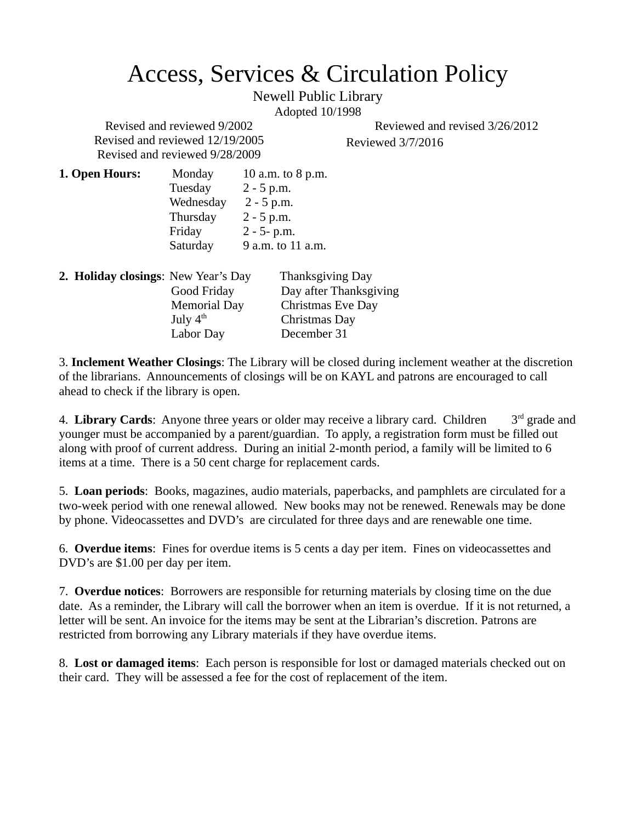## Access, Services & Circulation Policy

Newell Public Library

Adopted 10/1998

Revised and reviewed 9/2002 Revised and reviewed 12/19/2005 Revised and reviewed 9/28/2009

Reviewed and revised 3/26/2012

Reviewed 3/7/2016

| 1. Open Hours: | Monday    | 10 a.m. to 8 p.m. |
|----------------|-----------|-------------------|
|                | Tuesday   | $2 - 5$ p.m.      |
|                | Wednesday | $2 - 5$ p.m.      |
|                | Thursday  | $2 - 5$ p.m.      |
|                | Friday    | $2 - 5 - p.m.$    |
|                | Saturday  | 9 a.m. to 11 a.m. |
|                |           |                   |

**2. Holiday closings**: New Year's Day Thanksgiving Day Good Friday Day after Thanksgiving Memorial Day Christmas Eve Day July  $4^{\text{th}}$  Christmas Day Labor Day December 31

3. **Inclement Weather Closings**: The Library will be closed during inclement weather at the discretion of the librarians. Announcements of closings will be on KAYL and patrons are encouraged to call ahead to check if the library is open.

4. **Library Cards**: Anyone three years or older may receive a library card. Children  $3<sup>rd</sup>$  grade and younger must be accompanied by a parent/guardian. To apply, a registration form must be filled out along with proof of current address. During an initial 2-month period, a family will be limited to 6 items at a time. There is a 50 cent charge for replacement cards.

5. **Loan periods**: Books, magazines, audio materials, paperbacks, and pamphlets are circulated for a two-week period with one renewal allowed. New books may not be renewed. Renewals may be done by phone. Videocassettes and DVD's are circulated for three days and are renewable one time.

6. **Overdue items**: Fines for overdue items is 5 cents a day per item. Fines on videocassettes and DVD's are \$1.00 per day per item.

7. **Overdue notices**: Borrowers are responsible for returning materials by closing time on the due date. As a reminder, the Library will call the borrower when an item is overdue. If it is not returned, a letter will be sent. An invoice for the items may be sent at the Librarian's discretion. Patrons are restricted from borrowing any Library materials if they have overdue items.

8. **Lost or damaged items**: Each person is responsible for lost or damaged materials checked out on their card. They will be assessed a fee for the cost of replacement of the item.